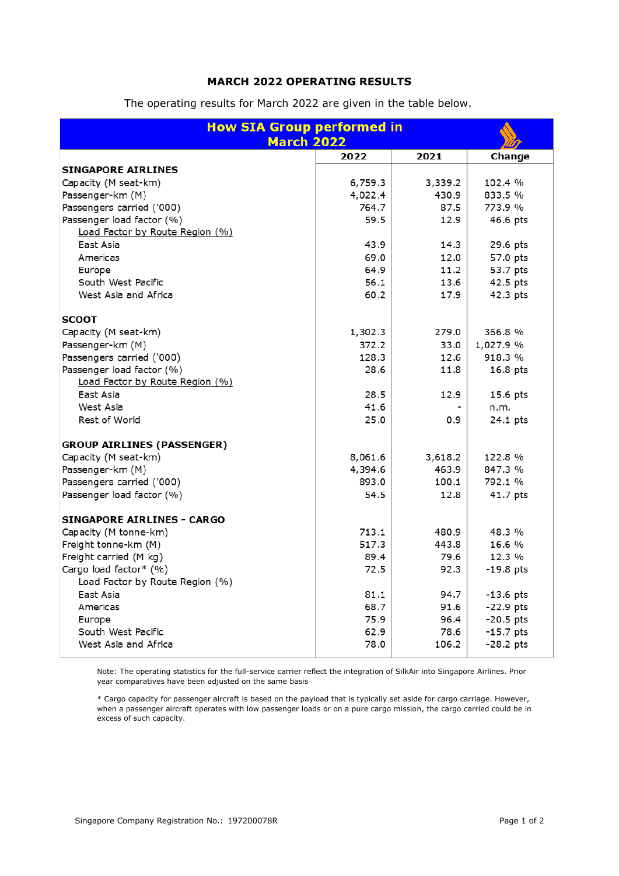## **MARCH 2022 OPERATING RESULTS**

| <b>How SIA Group performed in</b> |         |         |             |
|-----------------------------------|---------|---------|-------------|
| <b>March 2022</b>                 |         |         |             |
|                                   | 2022    | 2021    | Change      |
| <b>SINGAPORE AIRLINES</b>         |         |         |             |
| Capacity (M seat-km)              | 6,759.3 | 3,339.2 | 102.4 %     |
| Passenger-km (M)                  | 4,022.4 | 430.9   | 833.5 %     |
| Passengers carried ('000)         | 764.7   | 87.5    | 773.9 %     |
| Passenger load factor (%)         | 59.5    | 12.9    | 46.6 pts    |
| Load Factor by Route Region (%)   |         |         |             |
| East Asia                         | 43.9    | 14.3    | 29.6 pts    |
| Americas                          | 69.0    | 12.0    | 57.0 pts    |
| Europe                            | 64.9    | 11.2    | 53.7 pts    |
| South West Pacific                | 56.1    | 13.6    | 42.5 pts    |
| West Asia and Africa              | 60.2    | 17.9    | 42.3 pts    |
| <b>SCOOT</b>                      |         |         |             |
| Capacity (M seat-km)              | 1,302.3 | 279.0   | 366.8 %     |
| Passenger-km (M)                  | 372.2   | 33.0    | 1,027.9 %   |
| Passengers carried ('000)         | 128.3   | 12.6    | 918.3 %     |
| Passenger load factor (%)         | 28.6    | 11.8    | 16.8 pts    |
| Load Factor by Route Region (%)   |         |         |             |
| East Asia                         | 28.5    | 12.9    | 15.6 pts    |
| West Asia                         | 41.6    |         | n.m.        |
| Rest of World                     | 25.0    | 0.9     | 24.1 pts    |
| <b>GROUP AIRLINES (PASSENGER)</b> |         |         |             |
| Capacity (M seat-km)              | 8,061.6 | 3,618.2 | 122.8 %     |
| Passenger-km (M)                  | 4,394.6 | 463.9   | 847.3 %     |
| Passengers carried ('000)         | 893.0   | 100.1   | 792.1 %     |
| Passenger load factor (%)         | 54.5    | 12.8    | 41.7 pts    |
| <b>SINGAPORE AIRLINES - CARGO</b> |         |         |             |
| Capacity (M tonne-km)             | 713.1   | 480.9   | 48.3 %      |
| Freight tonne-km (M)              | 517.3   | 443.8   | 16.6%       |
| Freight carried (M kg)            | 89.4    | 79.6    | 12.3 %      |
| Cargo load factor* (%)            | 72.5    | 92.3    | $-19.8$ pts |
| Load Factor by Route Region (%)   |         |         |             |
| East Asia                         | 81.1    | 94.7    | $-13.6$ pts |
| Americas                          | 68.7    | 91.6    | $-22.9$ pts |
| Europe                            | 75.9    | 96.4    | $-20.5$ pts |
| South West Pacific                | 62.9    | 78.6    | -15.7 pts   |
| West Asia and Africa              | 78.0    | 106.2   | $-28.2$ pts |
|                                   |         |         |             |

The operating results for March 2022 are given in the table below.

Note: The operating statistics for the full-service carrier reflect the integration of SilkAir into Singapore Airlines. Prior year comparatives have been adjusted on the same basis

\* Cargo capacity for passenger aircraft is based on the payload that is typically set aside for cargo carriage. However, when a passenger aircraft operates with low passenger loads or on a pure cargo mission, the cargo carried could be in excess of such capacity.